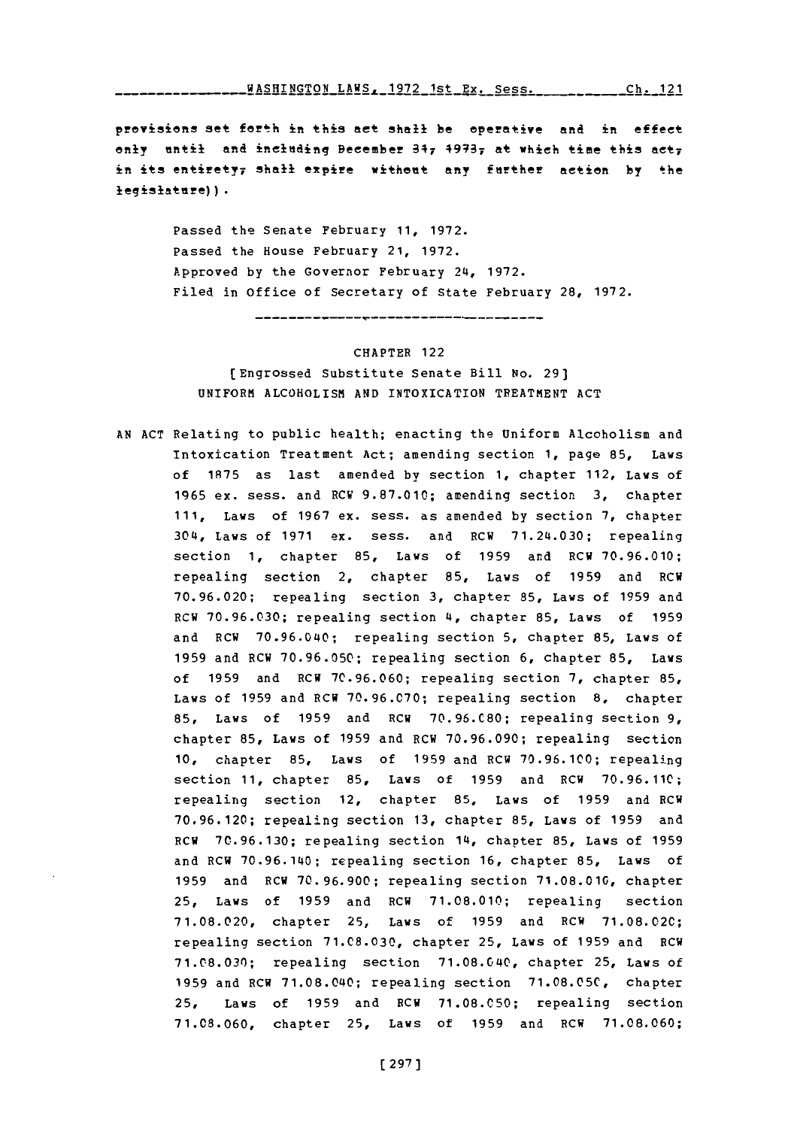WASHINGTON LAWS, **1972** 1st Ex. Sess. **Ch.** 121

provisions set feth in this act shall be operative and in effect only until and including Becember  $347$   $49737$  at which time this act; in its entirety; shall expire without any further action by the legislatare) **).**

> Passed the Senate February **11, 1972.** Passed the House February 21, **1972.** Approved **by** the Governor February 24, **1972.** Filed in office of Secretary of State February **28, 1972.**

# CHAPTER 122 [Engrossed Substitute Senate Bill No. **29] UNIFORM** ALCOHOLISM **AND** INTOXICATION TREATMENT **ACT**

**AN ACT** Relating to public health; enacting the Uniform Alcoholism and Intoxication Treatment Act; amending section **1,** page **85,** Laws of **1875** as last amended by section **1,** chapter 112, Laws of **1965** ex. sess. and RCW **9.87.010;** amending section **3,** chapter **111,** Laws of **1967** ex. sess. as amended **by** section **7,** chapter 304, Laws of **1971** ex. sess. and RCW 71.24.030; repealing section **1,** chapter **85,** Laws of **1959** and RCW **70.96.010;** repealing section 2, chapter **85,** Laws of **1959** and RCW **70.96.020;** repealing section **3,** chapter **85,** Laws of **1959** and RCW **70.96.030;** repealing section 4, chapter **85,** Laws of **1959** and RCW **70.96.040;** repealing section **5,** chapter **85,** Laws of **1959** and RCW **70.96.050;** repealing section **6,** chapter **85,** Laws of **1959** and RCW **70.96.060;** repealing section **7,** chapter **85,** Laws of **1959** and RCW **70.96.070;** repealing section **8,** chapter **85,** Laws of **1959** and RCW **70.96.C80;** repealing section **9,** chapter **85,** Laws of **1959** and RCW **70.96.090;** repealing section **10,** chapter **85,** Laws of **1959** and RCW **70.96.100;** repealing section **11,** chapter **85,** Laws of **1959** and ECH **70.96.110;** repealing section 12, chapter **85,** Laws of **1959** and RCW **70.96.120;** repealing section **13,** chapter **85,** Laws of **1959** and RCW **70.96.130;** repealing section 14, chapter **85,** Laws of **1959** and RCW **70.96.140:** repealing section **16,** chapter **85,** Laws of **1959** and RCW **70.96.900;** repealing section **71.08.010,** chapter **25,** Laws of **1959** and RCW **71.08.010;** repealing section **71.08.020,** chapter **25,** Laws of **1959** and RCW **71.08.020;** repealing section **71.C8.030,** chapter **25,** Laws of **1959** and RCW **71.08.030;** repealing section **71.08.040,** chapter **25,** Laws of **1959** and RCW **71.08.040;** repealing section **71.08.05C,** chapter **25,** Laws of **1959** and RCW **71.08.050;** repealing section **71.08.060,** chapter **25,** Laws of **1959** and RCW **71.08.060;**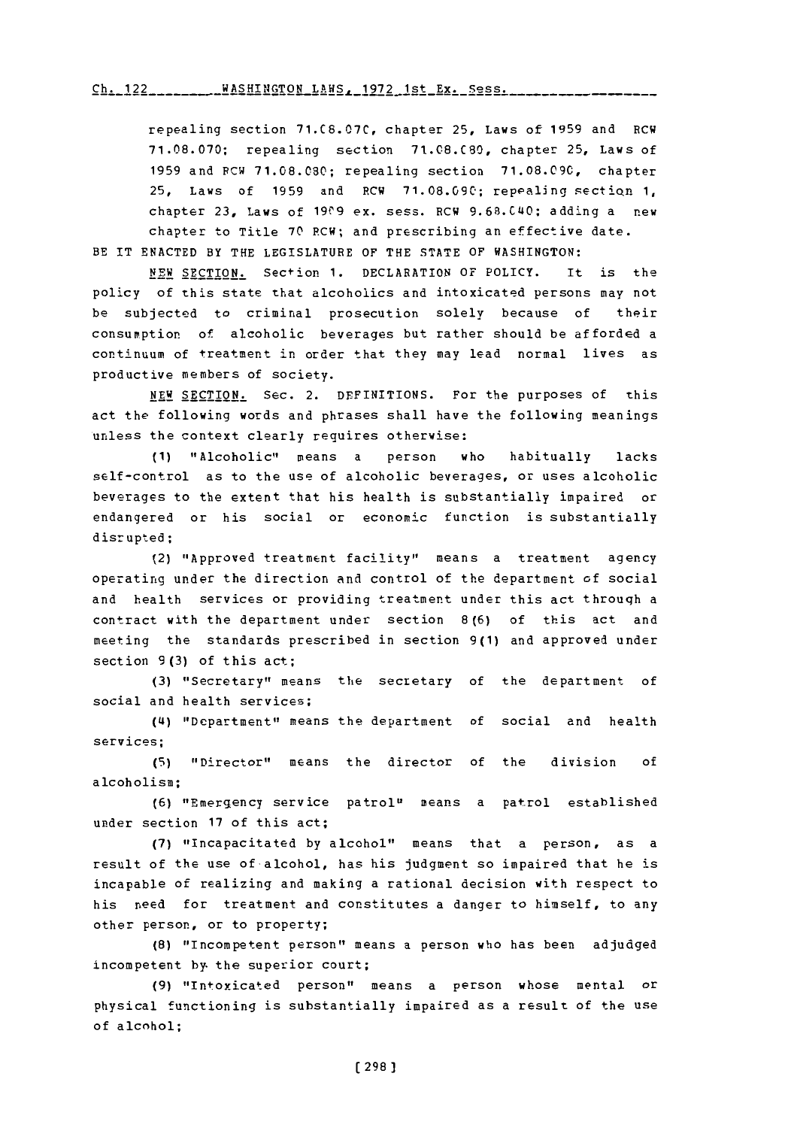**122--** WAH-O **-h** 197 **-- -- -- -- -- -** 1st **E- -S-s--. Ch.** 122 WASHINGTON LAWS, **1972** 1st Ex. Sess.

repealing section **71.C8.07C,** chapter **25,** Laws of **1959** and RCW **71.08.070;** repealing section **71.08.C80,** chapter **25,** Laws of **1959** and **PCW 71.08.080;** repealing section **71.08.09C,** chapter **25,** Laws of **1959** and RCW **71.08.090;** repealing sectiQn **1,** chapter 23, Laws of 1909 ex. sess. RCW 9.68.C40; adding a new chapter to Title **70** RCW; and prescribing an effective date.

BE IT **ENACTED** BY THE LEGISLATURE OF THE **STATE** OF WASHINGTON:

**NEW** SECTION. Section **1.** DECLARATION OF POLICY. It is the policy of this state that alcoholics and intoxicated persons may not be subjected to criminal prosecution solely because of their consumption of alcoholic beverages but rather should be afforded a continuum of treatment in order that they may lead normal lives as productive members of society.

NEW SECTION. Sec. 2. DEFINITIONS. For the purposes of this act the following words and phrases shall have the following meanings unless the context clearly requires otherwise:

**(1)** "Alcoholic" means a person who habitually lacks self-control as to the use of alcoholic beverages, or uses alcoholic beverages to the extent that his health is substantially impaired or endangered or his social or economic function is substantially disrupted;

(2) "Approved treatment facility" means a treatment agency operating under the direction and control of the department of social and health services or providing treatment under this act through a contract with the department under section **8(6)** of this act and meeting the standards prescribed in section **9(1)** and approved under section **9(3)** of this act;

**(3)** 'Secretary" means the secretary of the department of social and health services;

**(4i)** "Department" means the department of social and health services;

**(5)** "Director" means the director of the division **of** alcoholism;

**(6)** "Emergency service patrol" means a patrol established under section **17** of this act;

**(7)** "Incapacitated **by** alcohol", means that a person, as a result of the use of alcohol, has his judgment so impaired that he is incapable of realizing and making a rational decision with respect to his need for treatment and constitutes a danger to himself, to any other person, or to property;

**(8)** "Incompetent person" means a person who has been adjudged incompetent **by.** the superior court;

**(9)** "Intoxicated person" means a person whose mental or physical functioning is substantially impaired as a result of the use of alcohol;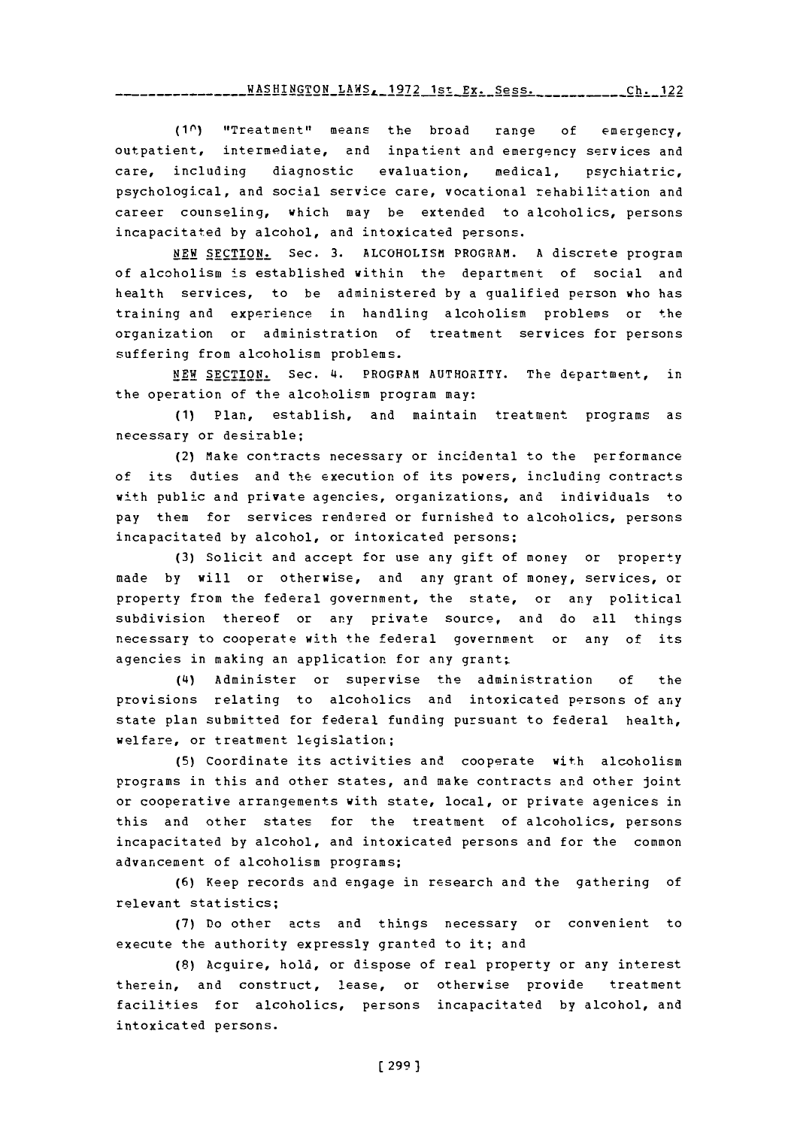**(10)** "Treatment" means the broad range **of** emergency, outpatient, intermediate, and inpatient and emergency services and care, including diagnostic evaluation, medical, psychiatric, psychological, and social service care, vocational rehabilitation and career counseling, which may be extended to alcoholics, persons incapacitated **by** alcohol, and intoxicated persons.

**NEW SECTION.** Sec. **3. ALCOHOLISM** PROGRAM. **A** discrete program of alcoholism is established within the department of social and health services, to be administered **by** a qualified person who has training and experience in handling alcoholism problems or the organization or administration of treatment services for persons suffering from alcoholism problems.

**NEW** SECTION. Sec. 4. PROGFAM AUTHORITY. The department, in the operation of the alcoholism program may:

**(1)** Plan, establish, and maintain treatment programs as necessary or desirable;

(2) Make contracts necessary or incidental to the performance of its duties and the execution of its powers, including contracts with public and private agencies, organizations, and individuals to pay them for services rendered or furnished to alcoholics, persons incapacitated **by** alcohol, or intoxicated persons;

**(3)** Solicit and accept for use any gift of money or property made **by** will or otherwise, and any grant of money, services, or property from the federal government, the state, or any political subdivision thereof or any private source, and do all things necessary to cooperate with the federal government or any of its agencies in making an application for any grant

(4) Administer or supervise the administration **of** the provisions relating to alcoholics and intoxicated persons of any state plan submitted for federal funding pursuant to federal health, welfare, or treatment legislation;

**(5)** Coordinate its activities and cooperate with alcoholism programs in this and other states, and make contracts and other joint or cooperative arrangements with state, local, or private agenices in this and other states for the treatment of alcoholics, persons incapacitated **by** alcohol, and intoxicated persons and for the common advancement of alcoholism programs;

**(6)** Keep records and engage in research and the gathering of relevant statistics;

**(7)** Do other acts and things necessary or convenient to execute the authority expressly granted to it; and

**(8)** Acquire, hold, or dispose of real property or any interest therein, and construct, lease, or otherwise provide treatment facilities for alcoholics, persons incapacitated **by** alcohol, and intoxicated persons.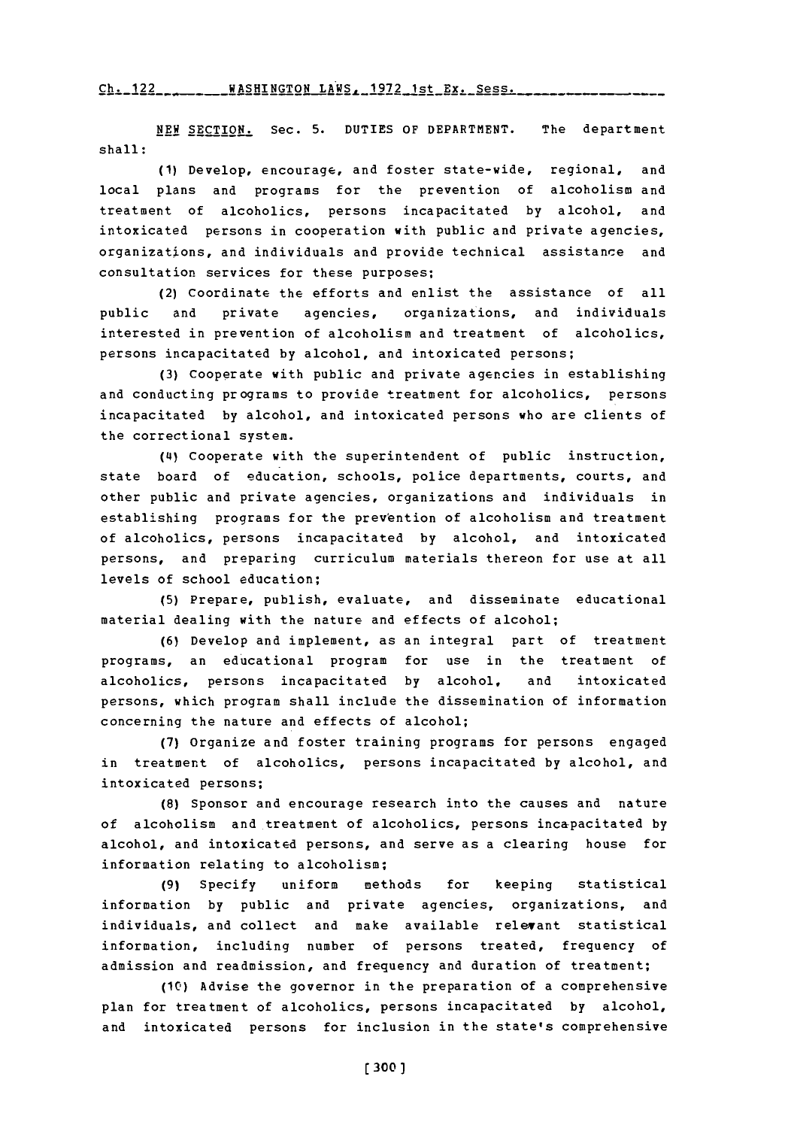Ch. **122WASHINGTON** LAWS. **1972** 1st **Ex.** Soss. **Ch.** 122

**NEW** SECTION. Sec. **5. DUTIES** OF DEPARTMENT. The department shall:

**(1)** Develop, encourage, and foster state-wide, regional, and local plans and programs for the prevention of alcoholism and treatment of alcoholics, persons incapacitated **by** alcohol, and intoxicated persons in cooperation with public and private agencies, organizations, and individuals and provide technical assistance and consultation services for these purposes;

(2) Coordinate the efforts and enlist the assistance of all public and private agencies, organizations, and individuals interested in prevention of alcoholism and treatment of alcoholics, persons incapacitated **by** alcohol, and intoxicated persons;

**(3)** Cooperate with public and private agencies in establishing and conducting programs to provide treatment for alcoholics, persons incapacitated by alcohol, and intoxicated persons who are clients of the correctional system.

(4) Cooperate with the superintendent of public instruction, state board of education, schools, police departments, courts, and other public and private agencies, organizations and individuals in establishing programs for the prevention of alcoholism and treatment of alcoholics, persons incapacitated **by** alcohol, and intoxicated persons, and preparing curriculum materials thereon for use at all levels of school education;

**(5)** Prepare, publish, evaluate, and disseminate educational material dealing with the nature and effects of alcohol;

**(6)** Develop and implement, as an integral part of treatment programs, an educational program for use in the treatment of alcoholics, persons incapacitated **by** alcohol, and intoxicated persons, which program shall include the dissemination of information concerning the nature and effects of alcohol;

**(7)** Organize and foster training programs for persons engaged in treatment of alcoholics, persons incapacitated **by** alcohol, and intoxicated persons;

**(8)** Sponsor and encourage research into the causes and nature of alcoholism and treatment of alcoholics, persons incapacitated **by** alcohol, and intoxicated persons, and serve as a clearing house for information relating to alcoholism;

**(9)** Specify uniform methods for keeping statistical information **by** public and private agencies, organizations, and individuals, and collect and make available relevant statistical information, including number of persons treated, frequency of admission and readmission, and frequency and duration of treatment;

**(10)** Advise the governor in the preparation of a comprehensive plan for treatment of alcoholics, persons incapacitated **by** alcohol, and intoxicated persons for inclusion in the state's comprehensive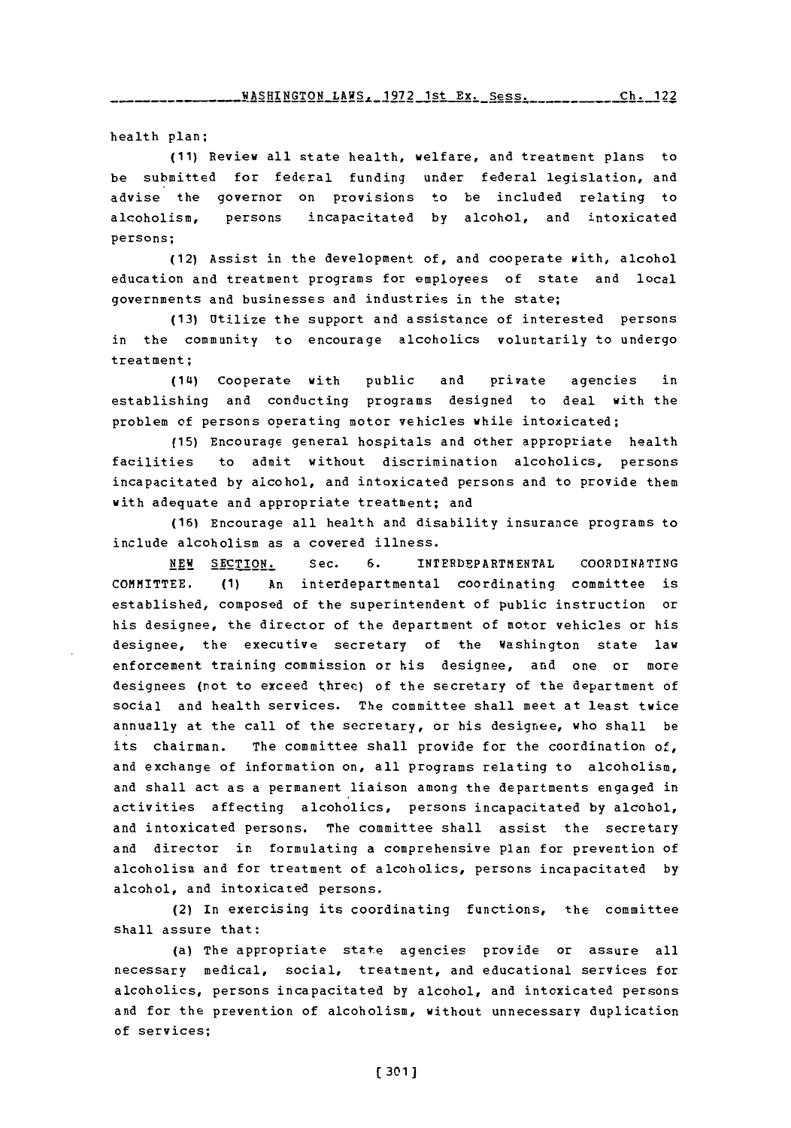health plan;

**(11)** Review all state health, welfare, and treatment plans to be submitted for federal funding under federal legislation, and advise the governor on provisions to be included relating to alcoholism, persons incapacitated **by** alcohol, and intoxicated persons;

(12) Assist in the development of, and cooperate with, alcohol education and treatment programs for employees of state and local governments and businesses and industries in the state;

**(13)** Utilize the support and assistance of interested persons in the community to encourage alcoholics voluntarily to undergo treatment;

(14) Cooperate with public and private agencies in establishing and conducting programs designed to deal with the problem of persons operating motor vehicles while intoxicated;

**(15)** Encourage general hospitals and other appropriate health facilities to admit without discrimination alcoholics, persons incapacitated **by** alcohol, and intoxicated persons and to provide them with adequate and appropriate treatment; and

**(16)** Encourage all health and disability insurance programs to include alcoholism as a covered illness.

**NEW SECTION.** Sec. **6.** INTERDEPARTMENTAL **COORDINATING** COMMITTEE. **(1)** An interdepartmental coordinating committee is established, composed of the superintendent of public instruction or his designee, the director of the department of motor vehicles or his designee, the executive secretary of the Washington state law enforcement training commission or his designee, and one or more designees (not to exceed three) of the secretary of the department of social and health services. The committee shall meet at least twice annually at the call of the secretary, or his designee, who shall be its chairman. The committee shall provide for the coordination of, and exchange of information on, all programs relating to alcoholism. and shall act as a permanent liaison among the departments engaged in activities affecting alcoholics, persons incapacitated **by** alcohol, and intoxicated persons. The committee shall assist the secretary and director in formulating a comprehensive plan for prevention of alcoholism and for treatment of alcoholics, persons incapacitated **by** alcohol, and intoxicated persons.

(2) In exercising its coordinating functions, the committee shall assure that:

(a) The appropriate state agencies provide or assure all necessary medical, social, treatment, and educational services for alcoholics, persons incapacitated **by** alcohol, and intoxicated persons and for the prevention of alcoholism, without unnecessary duplication of services;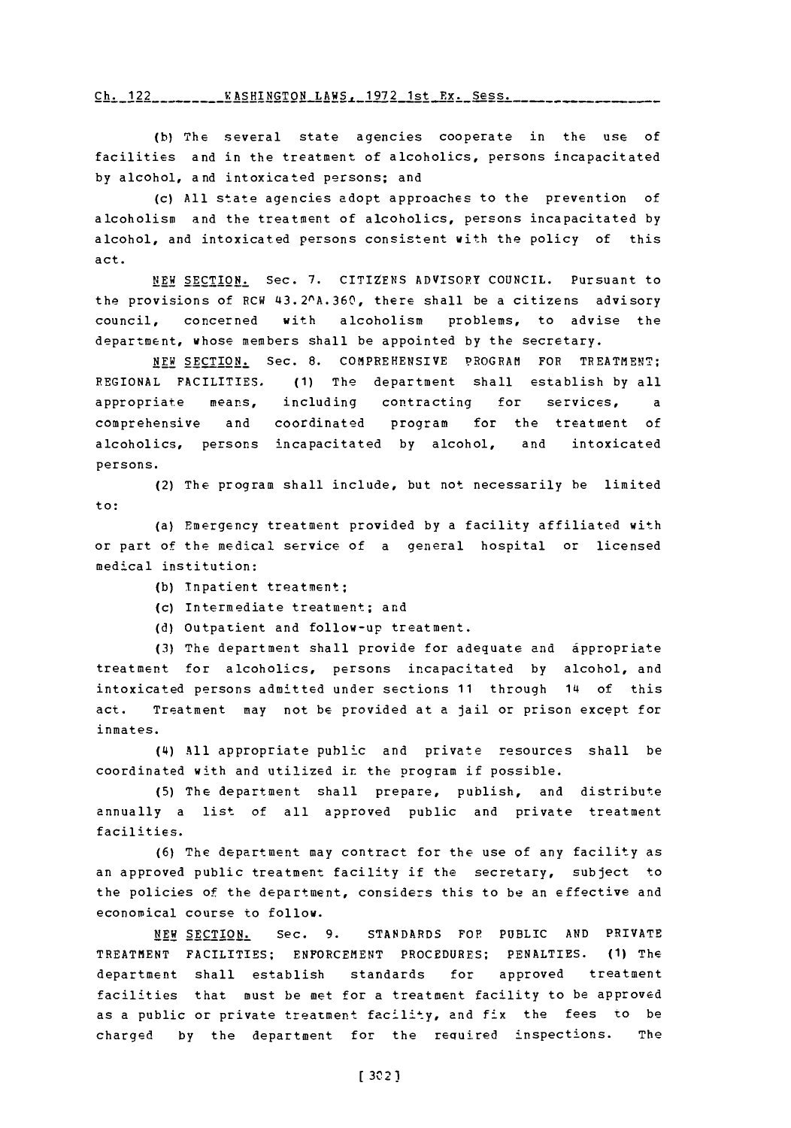# **flu.-- -- -- - --- -- S-IN--O** LA--92 is . Ss VASHINGTON LAWS, **1972** 1st Ex. Sess **Ch** <sup>122</sup>

**(b)** The several state agencies cooperate in the use of facilities and in the treatment of alcoholics, persons incapacitated **by** alcohol, and intoxicated persons; and

(c) **All** state agencies adopt approaches to the prevention of alcoholism and the treatment of alcoholics, persons incapacitated **by** alcohol, and intoxicated persons consistent with the policy of this act.

**NEW SECTION.** Sec. **7.** CITIZENS ADVISORY **COUNCIL.** Pursuant to the provisions of RCW 43.2<sup>o</sup>A.360, there shall be a citizens advisory council, concerned with alcoholism problems, to advise the department, whose members shall be appointed **by** the secretary.

NEW SECTION. Sec. **8.** COMPREHENSIVE PROGRAM FOP TREATMENT; REGIONAL FACILITIES, **(1)** The department shall establish **by** all appropriate means, including contracting for services, comprehensive and coordinated program for the treatment of alcoholics, persons incapacitated **by** alcohol, and intoxicated persons.

(2) The program shall include, but not necessarily be limited to:

(a) Emergency treatment provided **by** a facility affiliated with or part of the medical service of a general hospital or licensed medical institution:

- **(b)** Tnpatient treatment;
- (c) Intermediate treatment; and
- **(d)** Outpatient and follow-up treatment.

**(3)** The department shall provide for adequate and appropriate treatment for alcoholics, persons incapacitated **by** alcohol, and intoxicated persons admitted under sections **11** through 14 of this act. Treatment may not be provided at a jail or prison except for inmates.

**(4i) All** appropriate public and private resources shall be coordinated with and utilized in. the program if possible.

**(5)** The department shall prepare, publish, and distribute annually a list of all approved public and private treatment facilities.

**(6)** The department may contract for the use of any facility as an approved public treatment facility if the secretary, subject to the policies of the department, considers this to be an effective and economical course to follow.

**NEW SECTION.** Sec. **9. STANDARDS** FOP PUBLIC **AND** PRIVATE TREATMENT FACILITIES; **ENFORCEMENT** PROCEDURES; PENALTIES. **(1)** The department shall establish standards for approved treatment facilities that must be met for a treatment facility to be approved as a public or private treatment facility, and fix the fees to be charged **by** the department for the required inspections. The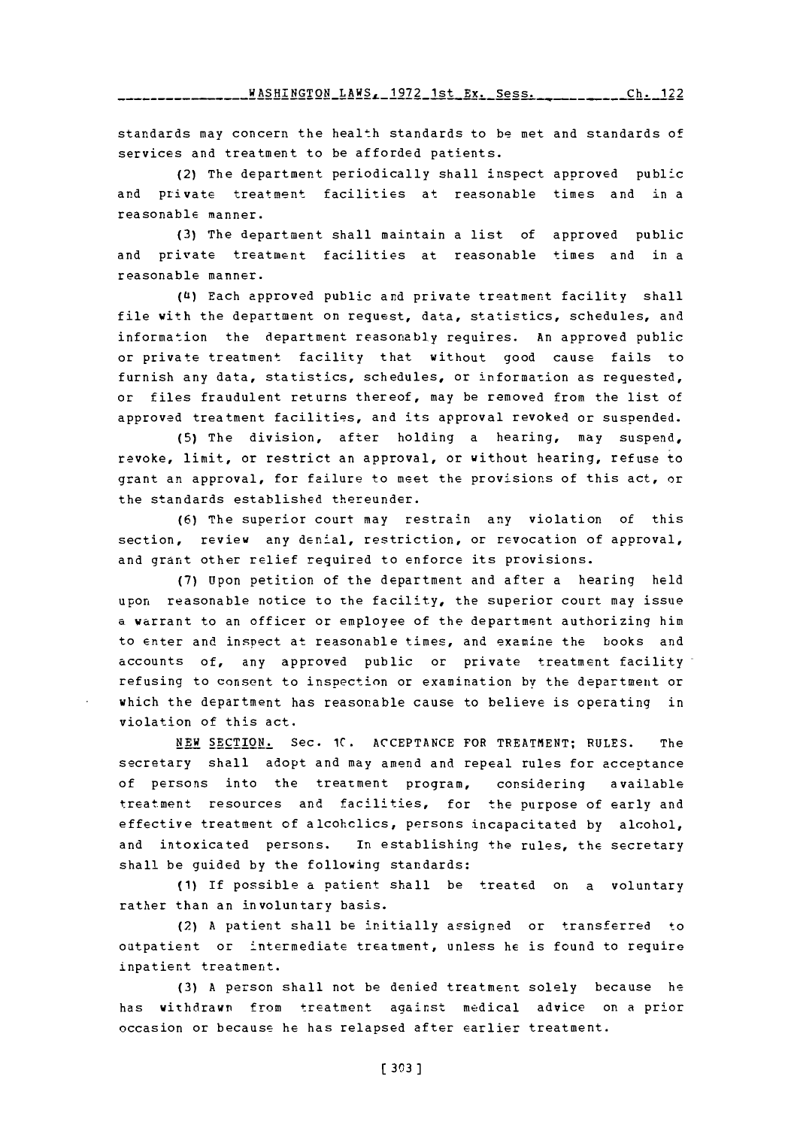*WASHINGTON\_LAWS, 1972\_1st\_Ex. Sess. \_ \_ . . . . . . . . . . . 122* 

standards may concern the health standards to be met and standards of services and treatment to be afforded patients.

(2) The department periodically shall inspect approved public and private treatment facilities at reasonable times and in a reasonable manner.

**(3)** The department shall maintain a list of approved public and private treatment facilities at reasonable times and in a reasonable manner.

**(Ui)** Each approved public and private treatment facility shall file with the department on request, data, statistics, schedules, and information the department reasonably requires. An approved public or private treatment facility that without good cause fails to furnish any data, statistics, schedules, or information as requested, or files fraudulent returns thereof, may be removed from the list of approved treatment facilities, and its approval revoked or suspended.

**(5)** The division, after holding a hearing, may suspend, revoke, limit, or restrict an approval, or without hearing, refuse to grant an approval, for failure to meet the provisions of this act, or the standards established thereunder.

**(6)** The superior court may restrain any violation of this section, review any denial, restriction, or revocation of approval, and grant other relief required to enforce its provisions.

**(7)** Upon petition of the department and after a hearing held upon reasonable notice to the facility, the superior court may issue a warrant to an officer or employee of the department authorizing him to enter and inspect at reasonable times, and examine the books and accounts of, any approved public or private treatment facility refusing to consent to inspection or examination by the department or which the department has reasonable cause to believe is operating in violation of this act.

**NEW** SECTION. Sec. **1C. ACCEPTANCE** FOR TREATMENT; **RULES.** The secretary shall adopt and may amend and repeal rules for acceptance of persons into the treatment program, considering available treatment resources and facilities, for the purpose of early and effective treatment of alcohclics, persons incapacitated **by** alcohol, and intoxicated persons. In establishing the rules, the secretary shall be guided **by** the following standards:

**(1)** If possible a patient shall be treated on a voluntary rather than an involuntary basis.

(2) **<sup>A</sup>**patient shall be initially assigned or transferred to outpatient or intermediate treatment, unless **he** is found to require inpatient treatment.

**(3) A** person shall not be denied treatment solely because he has withdrawn from treatment against medical advice on a prior occasion or because he has relapsed after earlier treatment.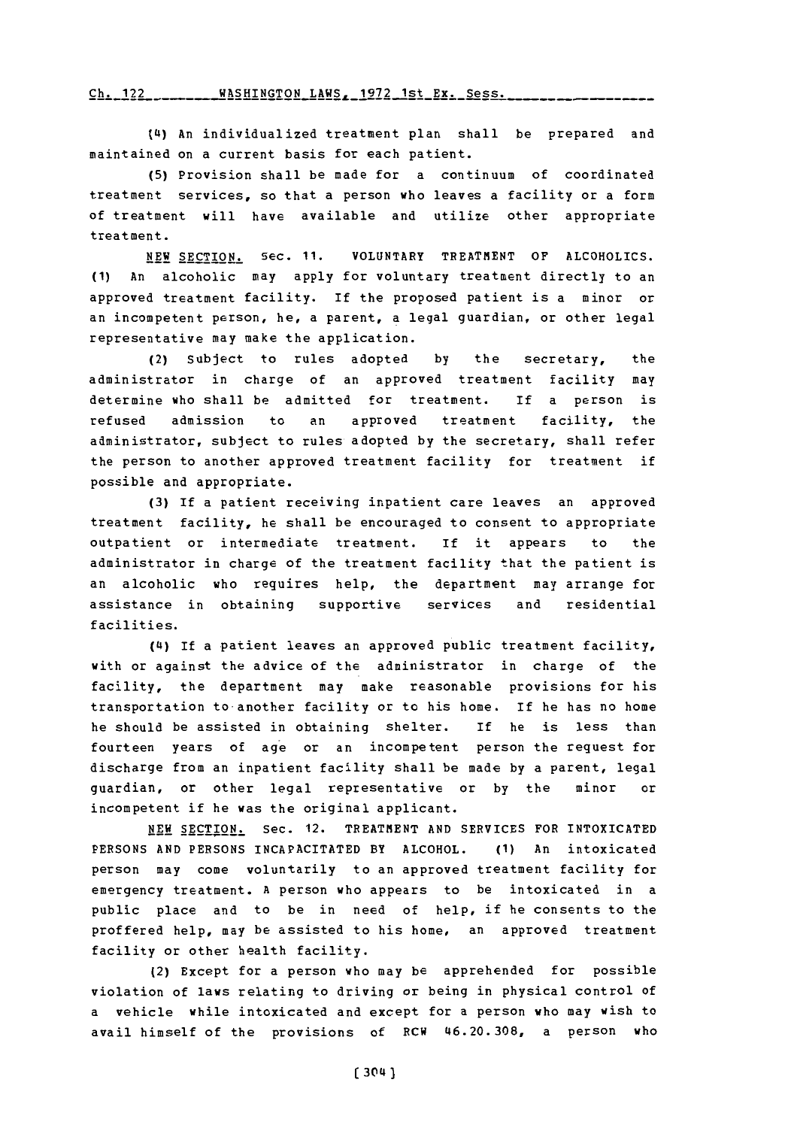### Ch. 122\_\_\_\_\_\_\_\_ WASHINGTON\_LAWS, 1972 1st Ex. Sess.

**(4s) An individualized treatment plan shall be prepared and maintained on a current basis for each patient.**

**(5) Provision shall be made for a continuum of coordinated treatment services, so that** a **person who leaves a facility or a form of treatment will have available and utilize other appropriate treatment.**

**NEW SECTION. Sec. 11. VOLUNTARY TREATMENT OF ALCOHOLICS. (1) An alcoholic may apply for voluntary treatment directly to an approved treatment facility. If the proposed patient is a minor or an incompetent person, he, a parent, a legal guardian, or other legal representative may make the application.**

**(2) Subject to rules adopted by the secretary, the administrator in charge of an approved treatment facility may determine who shall be admitted for treatment. If a person is refused admission to an approved treatment facility, the administrator, subject to rules adopted by the secretary, shall refer the person to another approved treatment facility for treatment if possible and appropriate.**

**(3) If a patient receiving inpatient care leaves an approved treatment facility, he shall be encouraged to consent to appropriate outpatient or intermediate treatment. If it appears to the administrator in charge of the treatment facility that the patient is an alcoholic who requires help, the department may arrange for assistance in obtaining supportive services and residential facilities.**

**(Cs) If a patient leaves an approved public treatment facility, with or against the advice of the administrator in charge of the facility, the department may make reasonable provisions for his transportation to-another facility or to his home. If he has no home he should be assisted in obtaining shelter. If he is less than fourteen years of age or an incompetent person the request for discharge from an inpatient facility shall he made by a parent, legal guardian, or other legal representative or by the minor or incompetent if he was the original applicant.**

**NEW SECTION. Sec. 12. TREATMENT AND SERVICES FOR INTOXICATED PERSONS AND PERSONS INCAPACITATED BY ALCOHOL. (1) An intoxicated person may come voluntarily to an approved treatment facility for emergency treatment. A person who appears to be intoxicated in a public place and to be in need of help, if he consents to the proffered help, may be assisted to his home, an approved treatment facility or other health facility.**

**(2) Except for a person who may be apprehended for possible violation of laws relating to driving or being in physical control of a vehicle while intoxicated and except for a person who may wish to avail himself of the provisions of RCW 46.20.308, a person who**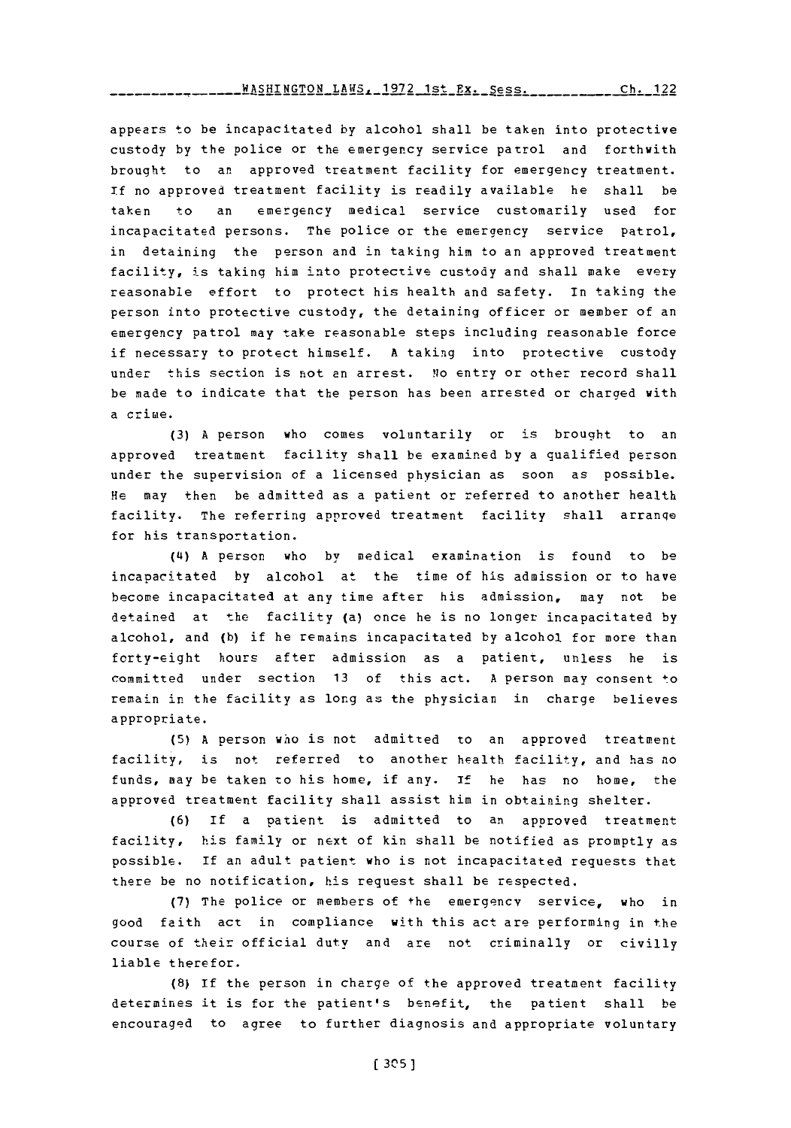-------------**WASHINGTON LAWS, 1972 1st Ex. Sess. <sub>-------</sub>------Ch. 122** 

appears to be incapacitated **by** alcohol shall be taken into protective custody **by** the police or the emergency service patrol and forthwith brought to an approved treatment facility for emergency treatment. If no approved treatment facility is readily available he shall be taken to an emergency medical service customarily used for incapacitated persons. The police or the emergency service patrol, in detaining the person and in taking him to an approved treatment facility, is taking him into protective custody and shall make every reasonable effort to protect his health and safety. In taking the person into protective custody, the detaining officer or member of an emergency patrol may take reasonable steps including reasonable force if necessary to protect himself. **A** taking into protective custody under this section is not an arrest. **No** entry or other record shall be made to indicate that the person has been arrested or charged with a crime.

**(3) A** person who comes voluntarily or is brought to an approved treatment facility shall be examined **by** a qualified person under the supervision of a licensed physician as soon as possible. He may then be admitted as a patient or referred to another health facility. The referring approved treatment facility shall arranqe for his transportation.

(4i) **A** person who **by** medical examination is found to be incapacitated **by** alcohol at the time of his admission or to have become incapacitated at any time after his admission, may not be detained at the facility (a) once he is no longer incapacitated **by** alcohol, and **(b)** if he remains incapacitated **by** alcohol for more than forty-eight hours after admission as a patient, unless he is committed under section **13** of this act. **A** person may consent \*o remain in the facility as long as the physician in charge believes appropriate.

**(5) A** person who is not admitted to an approved treatment facility, is not referred to another health facility, and has no funds, may be taken to his home, if any. **If** he has no home, the approved treatment facility shall assist him in obtaining shelter.

**(6) If** a patient is admitted to an approved treatment facility, his family or next of kin shall be notified as promptly as possible. If an adult patient who is not incapacitated requests that there be no notification, his request shall be respected.

**(7)** The police or members of +he emergency service, who in good faith act in compliance with this act are performing in the course of their official duty and are not criminally or civilly liable therefor.

**(8)** If the person in charge of the approved treatment facility determines it is for the patient's benefit, the patient shall be encouraged to agree to further diagnosis and appropriate voluntary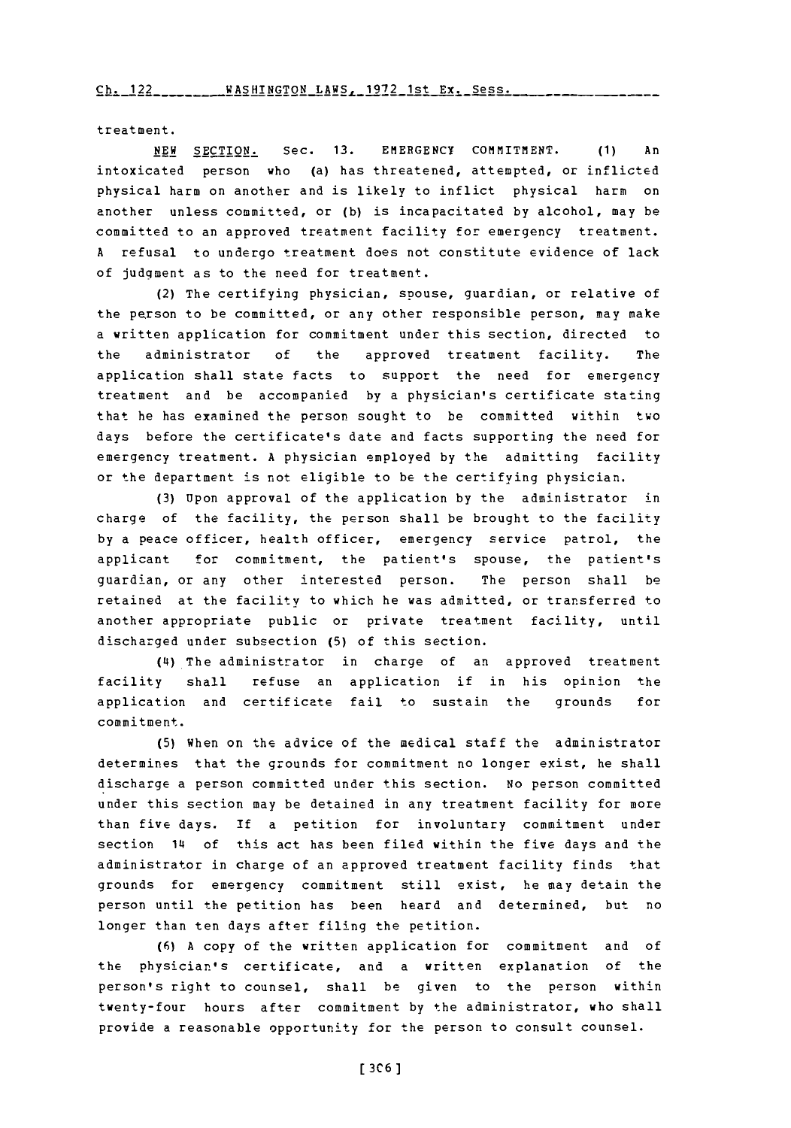treatment.

**NEW** SECTION. Sec. **13. EMiERGENCY** COMMITMENT. **(1)** An intoxicated person who (a) has threatened, attempted, or inflicted physical harm on another and is likely to inflict physical harm on another unless committed, or **(b)** is incapacitated **by** alcohol, may be committed to an approved treatment facility for emergency treatment. **<sup>A</sup>**refusal to undergo treatment does not constitute evidence of lack of judqment as to the need for treatment.

(2) The certifying physician, spouse, guardian, or relative of the person to be committed, or any other responsible person, may make a written application for commitment under this section, directed to the administrator **of** the approved treatment facility. The application shall state facts to support the need for emergency treatment and be accompanied **by** a physician's certificate stating that he has examined the person sought to be committed within two days before the certificate's date and facts supporting the need for emergency treatment. **A** physician employed **by** the admitting facility or the department is not eligible to be the certifying physician.

**(3)** Upon approval of the application **by** the administrator in charge of the facility, the person shall be brought to the facility **by** a peace officer, health officer, emergency service patrol, the applicant for commitment, the patient's spouse, the patient's guardian, or any other interested person. The person shall be retained at the facility to which he was admitted, or transferred to another appropriate public or private treatment facility, until discharged under subsection **(5)** of this section.

**(4i)** The administrator in charge of an approved treatment facility shall refuse an application if in his opinion the application and certificate fail to sustain the grounds for commitment.

**(5)** when on the advice of the medical staff the administrator determines that the grounds for commitment no longer exist, he shall discharge a person committed under this section. No person committed under this section may be detained in any treatment facility for more than five days. If a petition for involuntary commitment under section 14 of this act has been filed within the five days and the administrator in charge of an approved treatment facility finds that grounds for emergency commitment still exist, he may detain the person until the petition has been heard and determined, but no longer than ten days after filing the petition.

**(6) A** copy of the written application for commitment and of the physician's certificate, and a written explanation of the person's right to counsel, shall be given to the person within twenty-four hours after commitment **by** the administrator, who shall provide a reasonable opportunity for the person to consult counsel.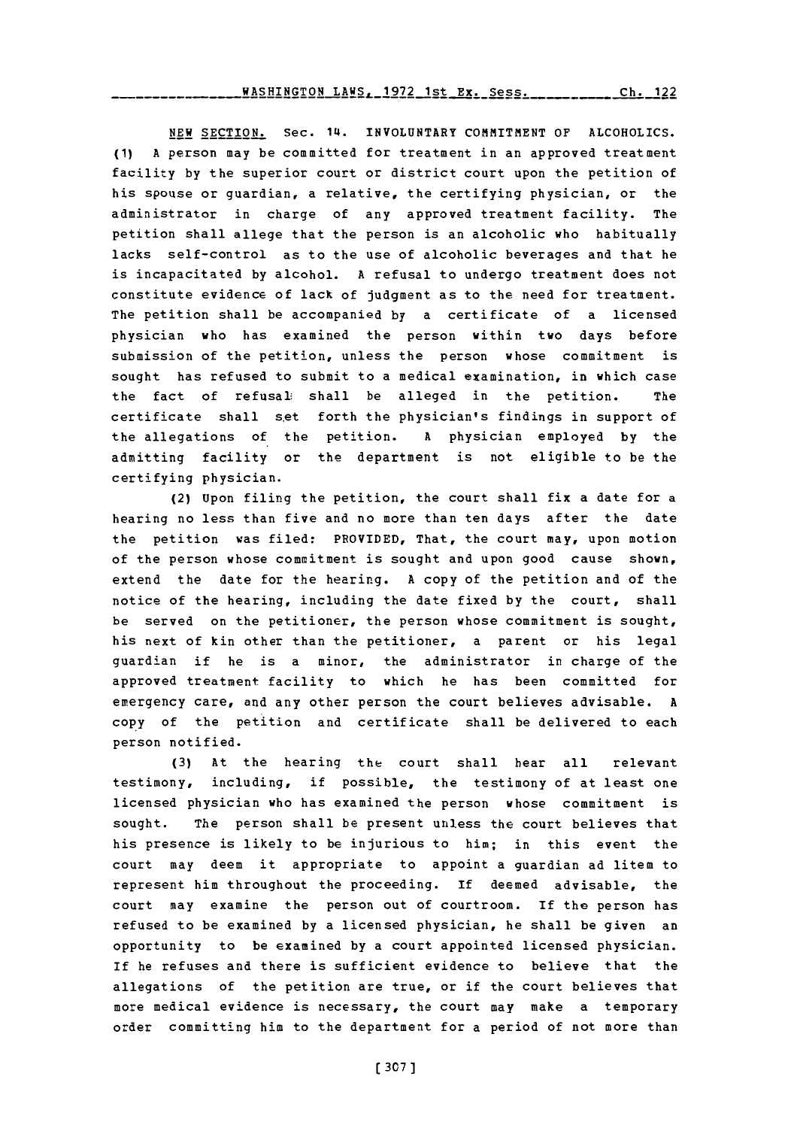**NEW** SECTION. Sec. 14. **INVOLUNTARY COMMITMENT** OF ALCOHOLICS. **(1) A** person may be committed for treatment in an approved treatment facility **by** the superior court or district court upon the petition of his spouse or guardian, a relative, the certifying physician, or the administrator in charge of any approved treatment facility. The petition shall allege that the person is an alcoholic who habitually lacks self-control as to the use of alcoholic beverages and that he is incapacitated **by** alcohol. **A** refusal to undergo treatment does not constitute evidence of lack of judgment as to the need for treatment. The petition shall be accompanied **by** a certificate of a licensed physician who has examined the person within two days before submission of the petition, unless the person whose commitment is sought has refused to submit to a medical examination, in which case the fact of refusal: shall be alleged in the petition. The certificate shall set forth the physician's findings in support of the allegations of the petition. **A** physician employed **by** the admitting facility or the department is not eligible to be the certifying physician.

(2) Upon filing the petition, the court shall fix a date for a hearing no less than five and no more than ten days after the date the petition was filed: PROVIDED, That, the court may, upon motion of the person whose commitment is sought and upon good cause shown, extend the date for the hearing. **A** copy of the petition and of the notice of the hearing, including the date fixed **by** the court, shall be served on the petitioner, the person whose commitment is sought, his next of kin other than the petitioner, a parent or his legal guardian if he is a minor, the administrator in charge of the approved treatment facility to which he has been committed for emergency care, and any other person the court believes advisable. **A** copy of the petition and certificate shall be delivered to each person notified.

**(3)** At the hearing the court shall hear all relevant testimony, including, if possible, the testimony of at least one licensed physician who has examined the person whose commitment is sought. The person shall be present unless the court believes that his presence is likely to be injurious to him; in this event the court may deem it appropriate to appoint a guardian ad litem to represent him throughout the proceeding. **If** deemed advisable, the court may examine the person out of courtroom. If the person has refused to be examined **by** a licensed physician, he shall be given an opportunity to be examined **by** a court appointed licensed physician. **If** he refuses and there is sufficient evidence to believe that the allegations of the petition are true, or if the court believes that more medical evidence is necessary, the court may make a temporary order committing him to the department for a period of not more than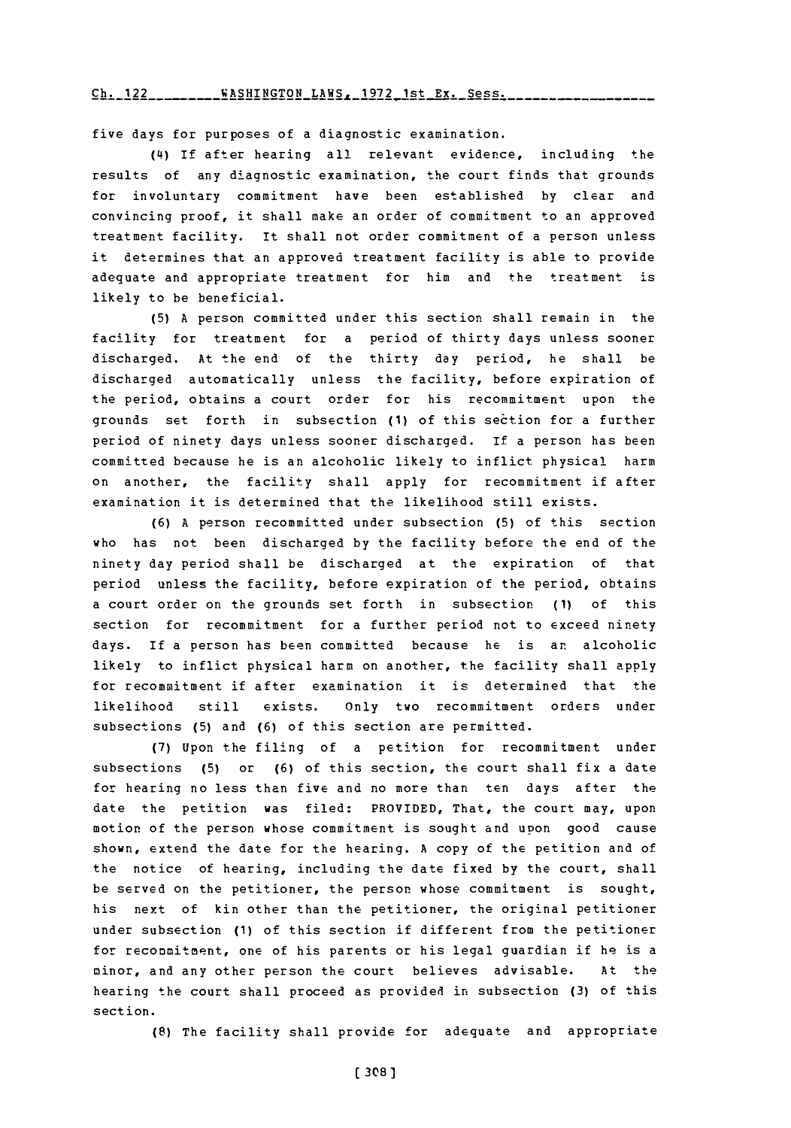### Ch **122WASHINGTON** LAWS, **1972** 1st Ex. Sess. **Ch.** 122

five days for purposes of a diagnostic examination.

**(L4)** If after hearing all relevant evidence, including the results of any diagnostic examination, the court finds that grounds for involuntary commitment have been established **by** clear and convincing proof, it shall make an order of commitment to an approved treatment facility. It shall not order commitment of a person unless it determines that an approved treatment facility is able to provide adequate and appropriate treatment for him and the treatment is likely to be beneficial.

**(5) A** person committed under this section shall remain in the facility for treatment for a period of thirty days unless sooner discharged. At the end of the thirty day period, he shall be discharged automatically unless the facility, before expiration of the period, obtains a court order for his recommitment upon the grounds set forth in subsection (1) of this section for a further period of ninety days unless sooner discharged. If a person has been committed because he is an alcoholic likely to inflict physical harm on another, the facility shall apply for recommitment if after examination it is determined that the likelihood still exists.

**(6) A** person recommitted under subsection **(5)** of this section who has not been discharged **by** the facility before the end of the ninety day period shall be discharged at the expiration of that period unless the facility, before expiration of the period, obtains a court order on the grounds set forth in subsection **(1)** of this section for recommitment for a further period not to exceed ninety days. If a person has been committed because he is an alcoholic likely to inflict physical harm on another, the facility shall apply for recommitment if after examination it is determined that the likelihood still exists. Only two recommitment orders under subsections **(5)** and **(6)** of this section are permitted.

**(7)** Upon the filing of a petition for recommitment under subsections **(5)** or **(6)** of this section, the court shall fix a date for hearing no less than five and no more than ten days after the date the petition was filed: PROVIDED, That, the court may, upon motion of the person whose commitment is sought and upon good cause shown, extend the date for the hearing. **A** copy of the petition and of the notice of hearing, including the date fixed **by** the court, shall be served on the petitioner, the person whose commitment is sought, his next of kin other than the petitioner, the original petitioner under subsection **(1)** of this section if different from the petitioner for recommitment, one of his parents or his legal guardian if he is a minor, and any other person the court believes advisable. **Atl** the hearing the court shall proceed as provided in subsection **(3)** of this section.

**(8)** The facility shall provide for adequate and appropriate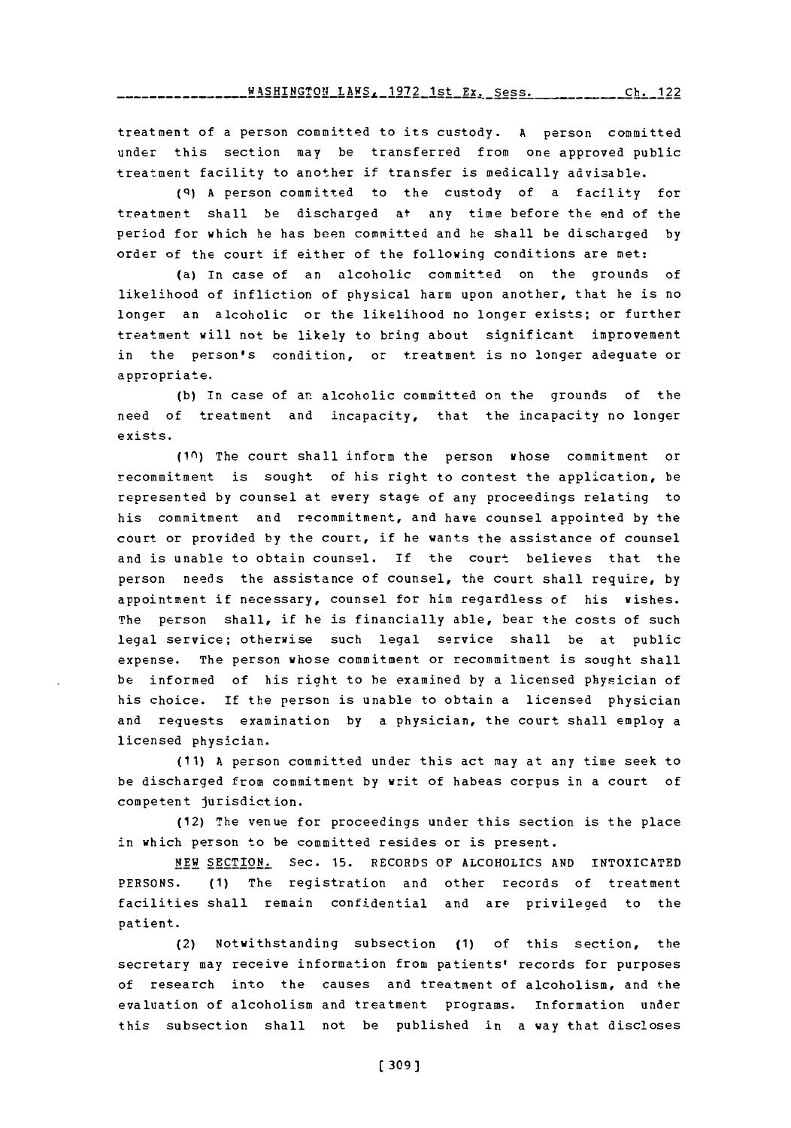treatment of a person committed to its custody. **A** person committed under this section may be transferred from one approved public treatment facility to another if transfer is medically advisable.

**(q) A** person committed to the custody of a facility for treatment shall be discharged at any time before the end of the period for which he has been committed and he shall be discharged **by** order of the court if either of the following conditions are met:

(a) In case of an alcoholic committed on the grounds of likelihood of infliction of physical harm upon another, that he is no longer an alcoholic or the likelihood no longer exists; or further treatment will not be likely to bring about significant improvement in the person's condition, or treatment is no longer adequate or appropriate.

**(b)** In case of an alcoholic committed on the grounds of the need of treatment and incapacity, that the incapacity no longer exists.

**(i(n)** The court shall inform the person whose commitment or recommitment is sought of his right to contest the application, be represented **by** counsel at every stage of any proceedings relating to his commitment and recommitment, and have counsel appointed **by** the court or provided **by** the court, if he wants the assistance of counsel and is unable to obtain counsel. If the court believes that the person needs the assistance of counsel, the court shall require, **by** appointment if necessary, counsel for him regardless of his wishes. The person shall, if he is financially able, bear the costs of such legal service; otherwise such legal service shall be at public expense. The person whose commitment or recommitment is sought shall be informed of his right to he examined **by** a licensed physician of his choice. **If** the person is unable to obtain a licensed physician and requests examination **by** a physician, the court shall employ a licensed physician.

**(11) A** person committed under this act may at any time seek to be discharged from commitment **by** writ of habeas corpus in a court of competent jurisdiction.

(12) The venue for proceedings under this section is the place in which person to be committed resides or is present.

**NEW** SECTION. Sec. **15.** RECORDS OF ALCOHOLICS **AND INTOXICATED PERSONS. (1)** The registration and other records of treatment facilities shall remain confidential and are privileged to the patient.

(2) Notwithstanding subsection **(1)** of this section, the secretary may receive information from patients' records for purposes of research into the causes and treatment of alcoholism, and the evaluation of alcoholism and treatment programs. Information under this subsection shall not be published in a way that discloses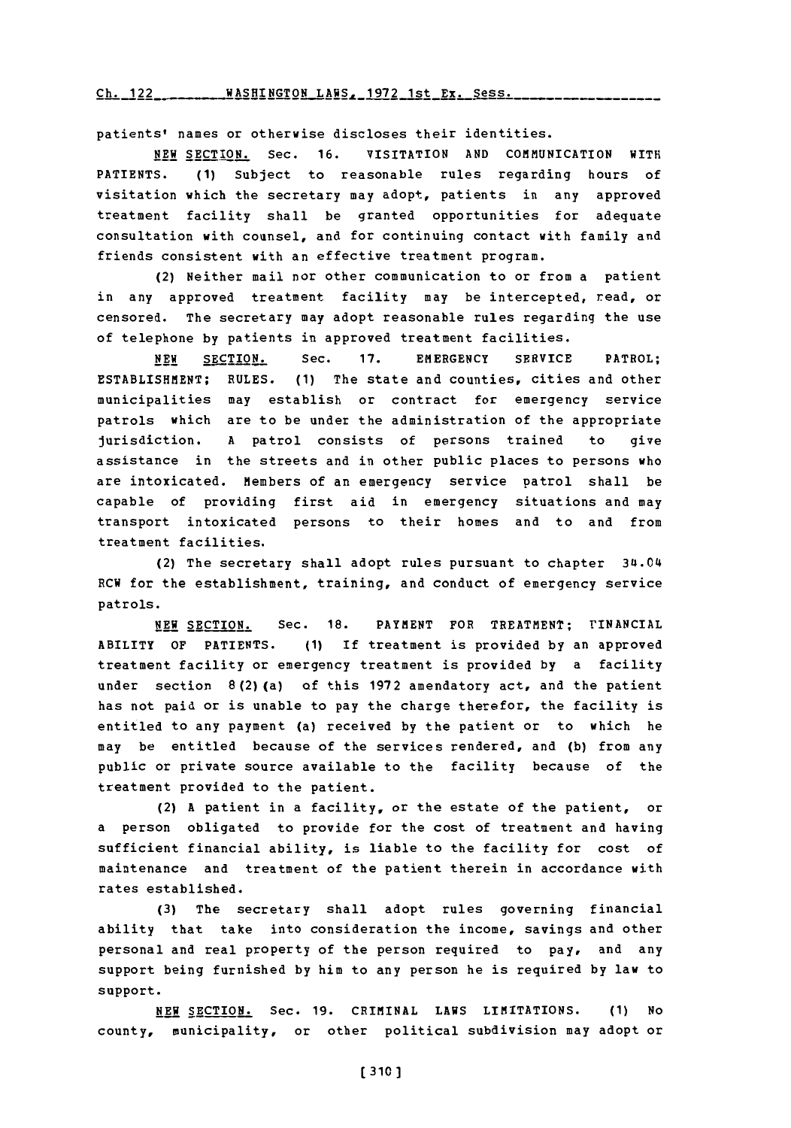### Ch. 122 \_\_\_\_\_\_\_\_ WASHINGTON\_LAWS, 1972 1st Ex. Sess.

patients' names or otherwise discloses their identities.

**NEW** SECTION. Sec. **16.** VISITATION **AND** COMMUNICATION WITH PATIENTS. **(1)** Subject to reasonable rules regarding hours of visitation which the secretary may adopt, patients in any approved treatment facility shall be granted opportunities for adequate consultation with counsel, and for continuing contact with family and friends consistent with an effective treatment program.

(2) Neither mail nor other communication to or from a patient in any approved treatment facility may be intercepted, read, or censored. The secretary may adopt reasonable rules regarding the use of telephone **by** patients in approved treatment facilities.

**NEW** SECTION. Sec. **17.** EMERGENCY SERVICE PATROL; ESTABLISHMENT; **RULES. (1)** The state and counties, cities and other municipalities may establish or contract for emergency service patrols which are to be under the administration of the appropriate jurisdiction. **A** patrol consists of persons trained to give assistance in the streets and in other public places to persons who are intoxicated. Members of an emergency service patrol shall be capable of providing first aid in emergency situations and may transport intoxicated persons to their homes and to and from treatment facilities.

(2) The secretary shall adopt rules pursuant to chapter 34.04 RCW for the establishment, training, and conduct of emergency service patrols.

**NEW SECTION.** Sec. **18.** PAYMENT FOR TREATMENT; FINANCIAL ABILITY OF PATIENTS. **(1)** If treatment is provided **by** an approved treatment facility or emergency treatment is provided **by** a facility under section 8 (2) (a) **of** this **1972** amendatory act, and the patient has not paid or is unable to pay the charge therefor, the facility is entitled to any payment (a) received **by** the patient or to which he may be entitled because of the services rendered, and **(b)** from any public or private source available to the facility because of the treatment provided to the patient.

(2) **A** patient in a facility, or the estate of the patient, or a person obligated to provide for the cost of treatment and having sufficient financial ability, is liable to the facility for cost of maintenance and treatment of the patient therein in accordance with rates established.

**(3)** The secretary shall adopt rules governing financial ability that take into consideration the income, savings and other personal and real property of the person required to pay, and any support being furnished **by** him to any person he is required **by** law to support.

**NEW** SECTION. Sec. **19.** CRIMINAL **LAWS** LIMITATIONS. **(1)** No county, municipality, or other political subdivision may adopt or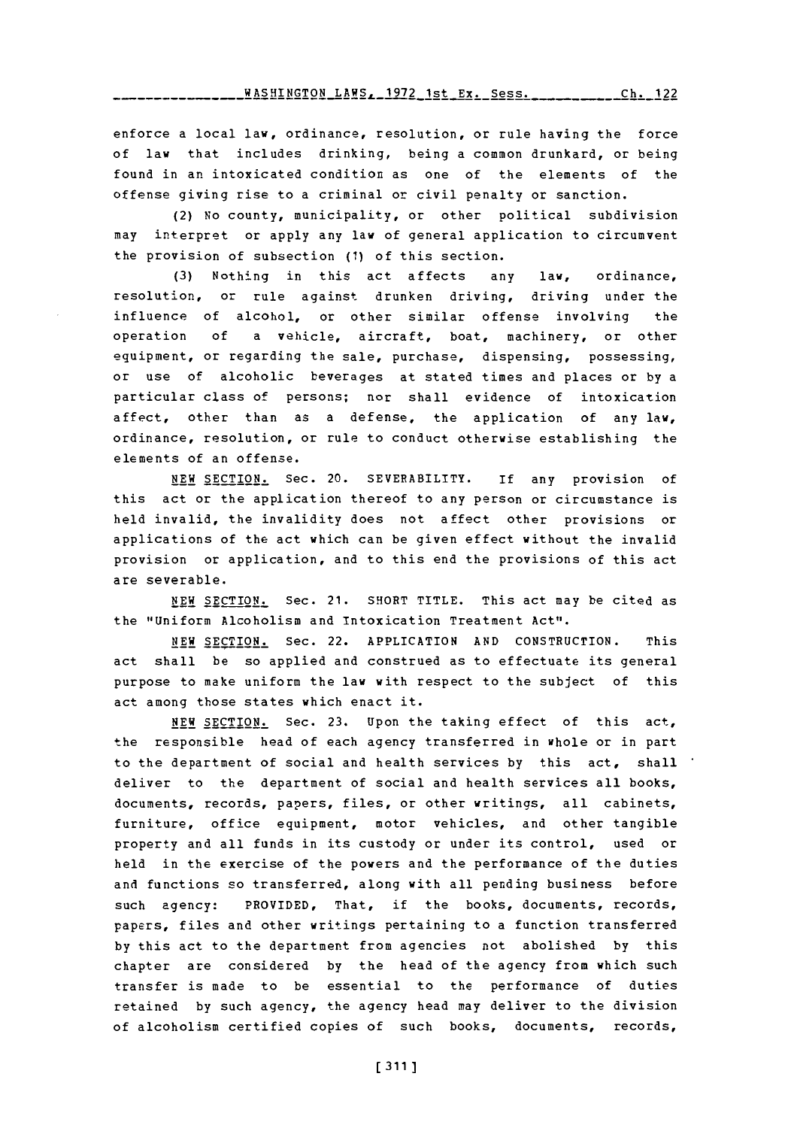<u>WASHINGTON LAWS. 1972 1st Ex. Sess. <mark>. . . . . . . . . . . 12</mark>2</u>

enforce a local law, ordinance, resolution, or rule having the force of law that includes drinking, being a common drunkard, or being found in an intoxicated condition as one of the elements of the offense giving rise to a criminal or civil penalty or sanction.

(2) No county, municipality, or other political subdivision may interpret or apply any law of general application to circumvent the provision of subsection **(1)** of this section.

**(3)** Nothing in this act affects any law, ordinance, resolution, or rule against drunken driving, driving under the influence of alcohol, or other similar offense involving the operation **of** a vehicle, aircraft, boat, machinery, or other equipment, or regarding the sale, purchase, dispensing, possessing, or use of alcoholic beverages at stated times and places or **by** <sup>a</sup> particular class of persons; nor shall evidence of intoxication affect, other than as a defense, the application of any law, ordinance, resolution, or rule to conduct otherwise establishing the elements of an offense.

**NEW** SECTION. Sec. 20. SEVERABILITY. **If** any provision of this act or the application thereof to any person or circumstance is held invalid, the invalidity does not affect other provisions or applications of the act which can be given effect without the invalid provision or application, and to this end the provisions of this act are severable.

**NEW** SECTION. Sec. 21. SHORT TITLE. This act may be cited as the "Uniform Alcoholism and Intoxication Treatment Act".

NEW SECTION. Sec. 22. APPLICATION **AND** CONSTRUCTION. This act shall be so applied and construed as to effectuate its general purpose to make uniform the law with respect to the subject of this act among those states which enact it.

**NEW** SECTION. Sec. **23.** Upon the taking effect of this act, the responsible head of each agency transferred in whole or in part to the department of social and health services **by** this act, shall deliver to the department of social and health services all books, documents, records, papers, files, or other writings, all cabinets, furniture, office equipment, motor vehicles, and other tangible property and all funds in its custody or under its control, used or held in the exercise of the powers and the performance of the duties and functions so transferred, along with all pending business before such agency: PROVIDED, That, if the books, documents, records, papers, files and other writings pertaining to a function transferred **by** this act to the department from agencies not abolished **by** this chapter are considered **by** the head of the agency from which such transfer is made to be essential to the performance of duties retained **by** such agency, the agency head may deliver to the division of alcoholism certified copies of such books, documents, records,

**[ 311 ]**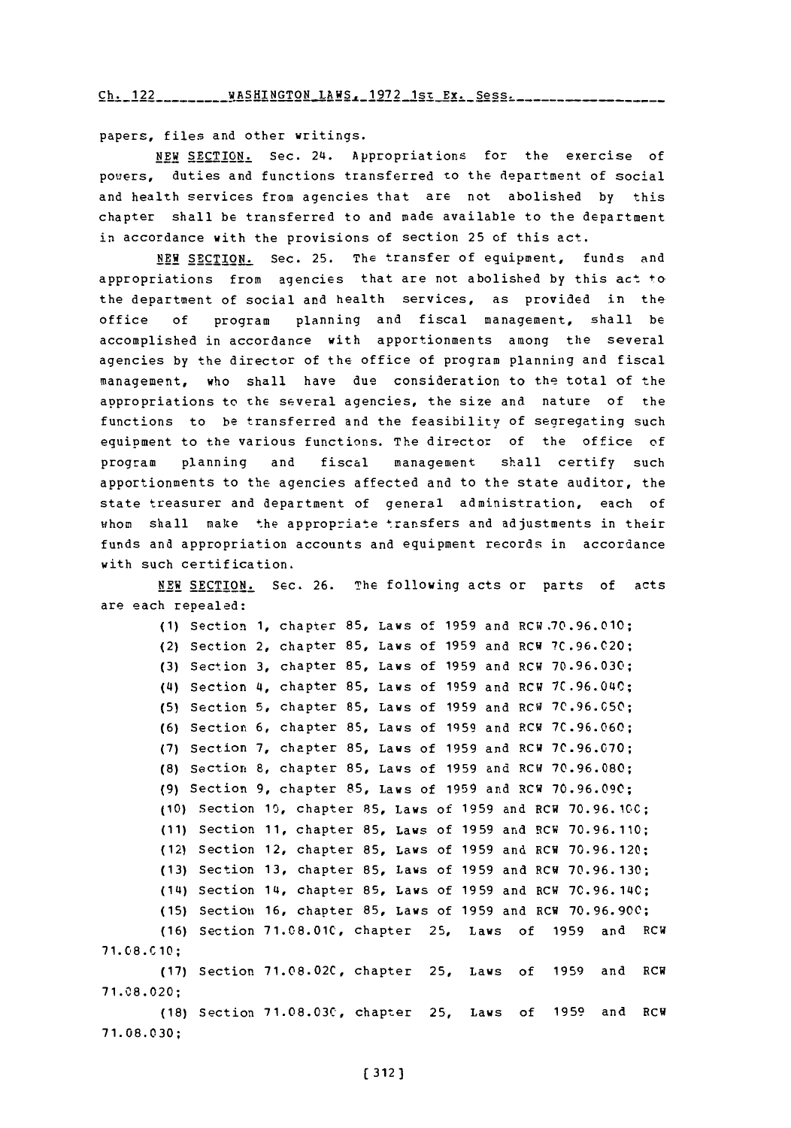Ch. 122 \_\_\_\_\_\_\_\_ WASHINGTON LAWS, 1972 1st Ex. Sess.

papers, files and other writings.

**NEW** SECTION. Sec. 24. Appropriations for the exercise of powers, duties and functions transferred to the department of social and health services from agencies that are not abolished **by** this chapter shall be transferred to and made available to the department in accordance with the provisions of section **25** of this act.

**NEW** SECTION. Sec. **25.** The transfer of equipment, funds and appropriations from agencies that are not abolished **by** this act to the department of social and health services, as provided in the office **of** program planning and fiscal management, shall be accomplished in accordance with apportionments among the several agencies **by** the director of the office of program planning and fiscal management, who shall have due consideration to the total of the appropriations to the several agencies, the size and nature of the functions to be transferred and the feasibility of segregating such equipment to the various functions. The director of the office of program planning and fiscal management shall certify such apportionments to the agencies affected and to the state auditor, the state treasurer and department of general administration, each of whom shall make the appropriate transfers and adjustments in their funds and appropriation accounts and equipment records in accordance with such certification.

NEW SECTION. Sec. **26.** The following acts or parts of acts are each repealed:

**(1)** Section **1,** chapter **85,** Laws **of 1959** and ECW **.70 .96.010;** (2) Section 2, chapter **85,** Laws **of 1959** and RC **H 7C .96.C020 ; (3)** Section **3,** chapter **85,** Laws **of 1959** and RCW **70 .96. 030;** (4) Section 4, chapter **85,** Laws **of 1959** and RCW **7C .96.040; (5)** Section **5,** chapter **85,** Laws **of 1959** and RCW **7C.96.050; (6)** Section **6,** chapter **85,** Laws **of 1959** and **?CW 7C .96.060; (7)** Section **7,** chapter **85,** Laws **of 1959** and **7C .96.070; (8)** Section **8,** chapter **85,** Laws **of 1959** and **70.96.080; (9)** Section **9,** chapter **85,** Law s **of 1959** and RCW **70. 96.090; (10)** Section **10,** chapter **85,** Laws of **1959** and RCW **70.96. 100; (11)** Section **11,** chapter **85,** Laws of **1959** and !4CW **70.96.110;** (12) Section 12, chapter **85,** Laws of **1959** and RCW **70.96.120; (13)** Section **13,** chapter **85,** Laws of **1959** and RCW **70.96.130;** (14) Section 14, chapter **85,** Laws of **1959** and RCW **70.96. 140; (15)** Section **16,** chapter **85,** Laws of **1959** and RCW **70.96.900; (16)** Section **71.08.010,** chapter **25,** Laws of **1959** and RCW 71.08. C10; **(17)** Section **71.08.02C,** chapter **25,** Laws of **1959** and RCW **71.08.020; (18)** Section **71.08.03C,** chapter **25,** Laws of **1959** and RCW **71. 08. 030;**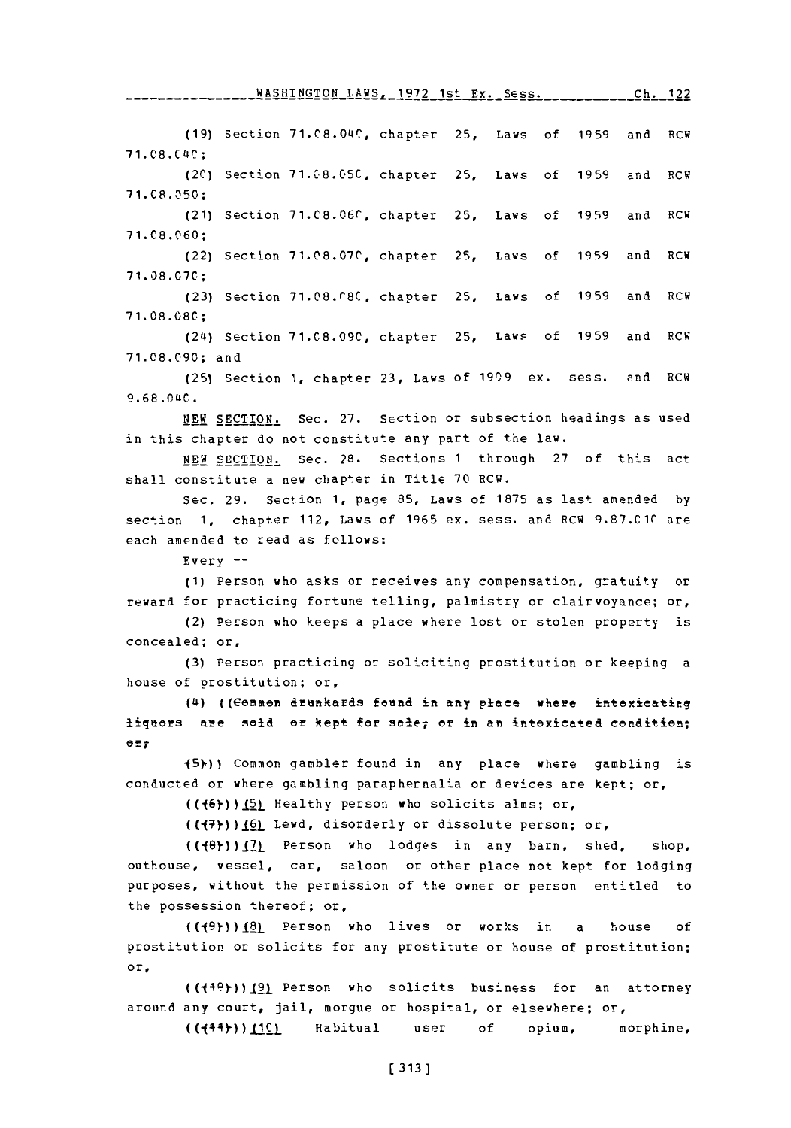**(19)** Section 71.08.0W, chapter **25,** Laws of **1959** and RCW **71.08.C 4C;** (20) Section 71.08.05C, chapter 25, Laws of 1959 and RCW **71.08. 50:** (21) Section **71.C8.06C,** chapter **25,** Laws of **1959** and RCW **71.08.1160;** (22) Section **71.08.07C,** chapter 25, Laws of **1959** and RCW **71.08.070; (23)** Section **71.08.C80,** chapter **25,** Laws of **1959** and RCW **71.08 .080;** (24) Section **71.C8.09C,** chapter **25,** Laws of **1959** and RCW **71.08.C90;** and **(25)** Section **1,** chapter **23,** Laws of **1909** ex. sess. and ROW **9.6 8.0ULC. NEW** SECTION. Sec. **27.** Section or subsection headings as used in this chapter do not constitute any part of the law. **NEW** SECTION. Sec. **28.** Sections **1** through **27** of this act shall constitute a new chapter in Title 70 RCW. Sec. **29.** Section **1,** page **85,** Laws of **1875** as last amended **by** section **1,** chapter 112, Laws of **1965** ex. sess. and RCW **9.87.010** are each amended to read as follows: Every **-- (1)** Person who asks or receives any compensation, gratuity or reward for practicing fortune telling, palmistry or clairvoyance; or, (2) Person who keeps a place where lost or stolen property is concealed; or, **(3)** Person practicing or soliciting prostitution or keeping a house of prostitution; or, (4) ((Common drunkards found in any place where intexicating liquors are sold or kept for sale; or in an intoxicated condition; **OrT** -(5fl) Common gambler found in any place where gambling is conducted or where gambling paraphernalia or devices are kept; or, **((j6))).** Healthy person who solicits alms; or,  $((\lbrace 7 \rbrace))$  ( $\underline{6}$ ) Lewd, disorderly or dissolute person; or,  $((48)$ ) $(2)$  Person who lodges in any barn, shed, shop, outhouse, vessel, car, saloon or other place not kept for lodging purposes, without the permission of the owner or person entitled to the possession thereof; or, **((19))(8)** Parson who lives or works in a house **of** prostitution or solicits for any prostitute or house of prostitution; or, **1972** 1st Ex. Sess. **Ch.** 122

 $((149)$ ) $(9)$  Person who solicits business for an attorney around any court, jail, morgue or hospital, or elsewhere; or, ((J44))LiCL Habitual user **of** opium, morphine,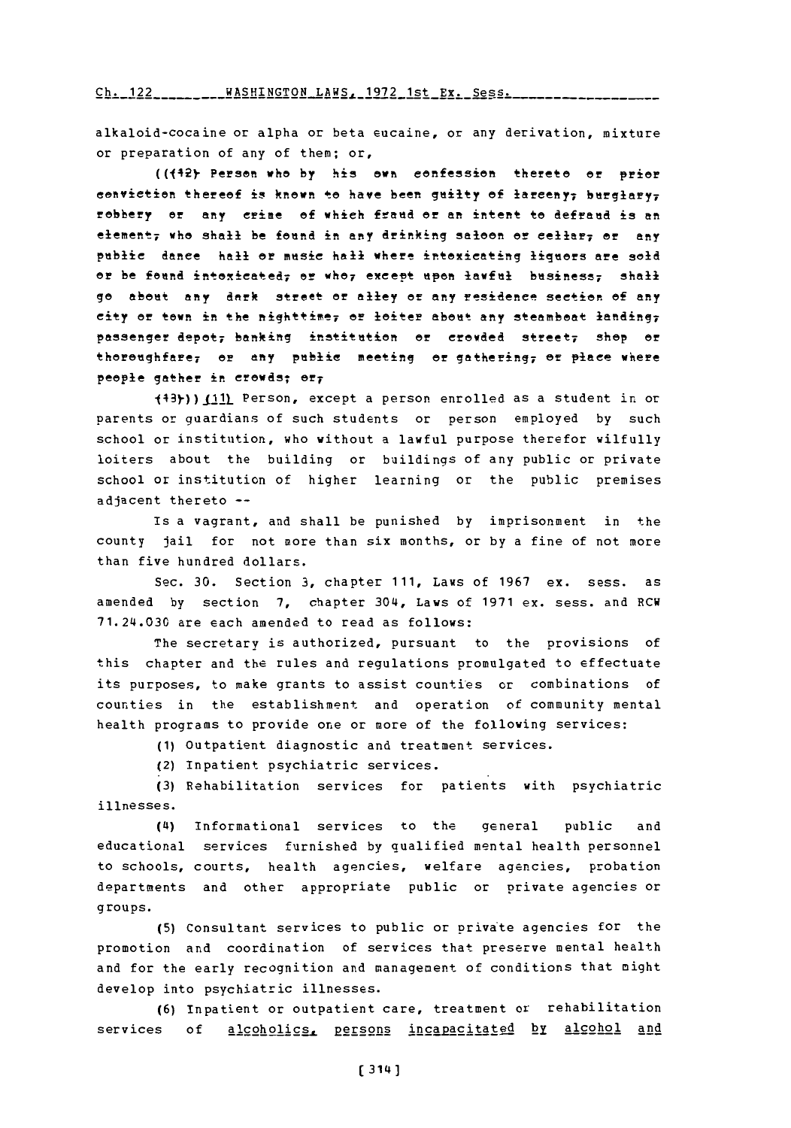#### $Ch. 122$  \_\_\_\_\_\_\_\_ WASHINGTON LAWS 1972 1st Px. Sess.

alkaloid-cocaine or alpha or beta eucaine, or any derivation, mixture or preparation of any of them; or,

**((42** Person **who by** his own cenfession thereto **or** prier conviction thereof is known to have been guilty of larceny; burglary; robbery or any crime of which fraud or an intent to defraud is an elemeftt 7 Who Shall: be fend in any **drinking** saloon **or** ellr; **or** any pablie danee hall **or** mesie hall where intoxicating ligees are sold or be found intoxicated; or who, except upon lawful business; shall go about any dark street or alley or any residence section of any city or town in the nighttime, or loiter about any steamboat landing, passenger depot, banking institution or crowded street, shop or thoroughfare<sub>7</sub> or any public meeting or gathering; or place where people gather in crowds; or;

 $(43)$ )  $(11)$  Person, except a person enrolled as a student in or parents or guardians of such students or person employed **by** such school or institution, who without a lawful purpose therefor wilfully loiters about the building or buildings of any public or private school or institution of higher learning or the public premises adjacent thereto **--**

Is a vagrant, and shall be punished **by** imprisonment in the county jail for not more than six months, or **by** a fine of not more than five hundred dollars.

Sec. **30.** Section **3,** chapter **111,** Laws of **1967** ex. sess. as amended **by** section **7,** chapter 304, Laws of **1971** ex. sess. and RCW 71.24.030 are each amended to read as follows:

The secretary is authorized, pursuant to the provisions of this chapter and the rules and regulations promulgated to effectuate its purposes, to make grants to assist counties or combinations of counties in the establishment and operation of community mental health programs to provide one or more of the following services:

**(1)** outpatient diagnostic and treatment services.

(2) Inpatient psychiatric services.

**(3)** Rehabilitation services for patients with psychiatric illnesses.

*(4I)* Informational services to the general public and educational services furnished **by** qualified mental health personnel to schools, courts, health agencies, welfare agencies, probation departments and other appropriate public or private agencies or groups.

**(5)** Consultant services to public or private agencies for the promotion and coordination of services that preserve mental health and for the early recognition and management of conditions that might develop into psychiatric illnesses.

**(6)** Inpatient or outpatient care, treatment or rehabilitation services **of** alcoholics. Persons incapacitated by alcohol and